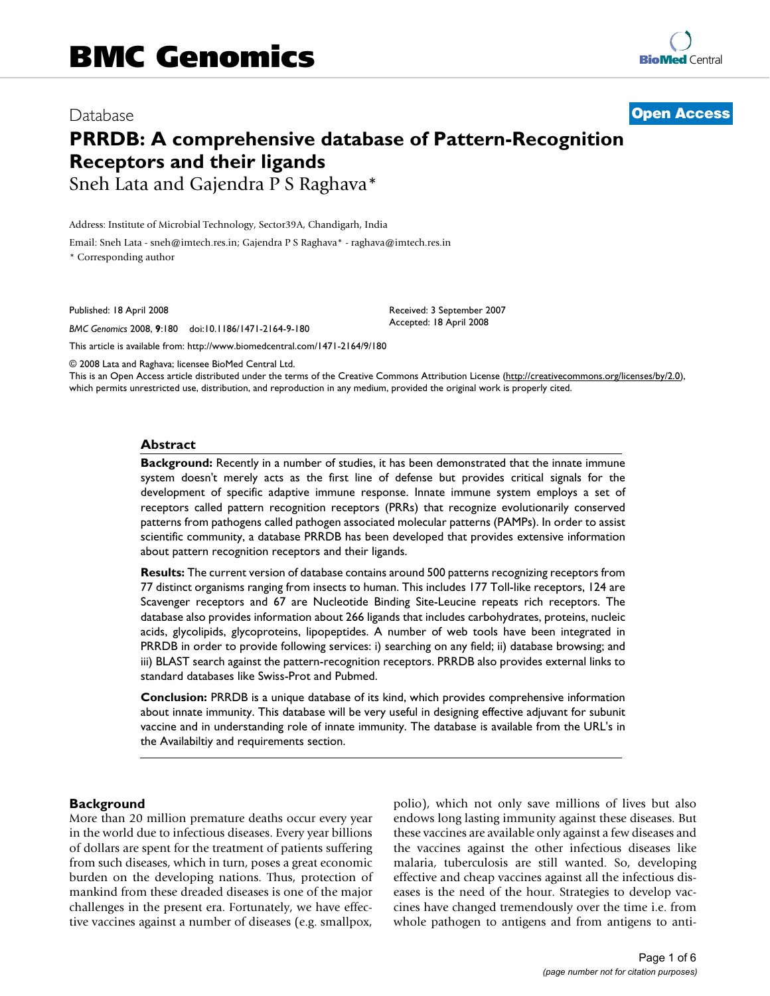# Database **[Open Access](http://www.biomedcentral.com/info/about/charter/) PRRDB: A comprehensive database of Pattern-Recognition Receptors and their ligands** Sneh Lata and Gajendra P S Raghava\*

Address: Institute of Microbial Technology, Sector39A, Chandigarh, India

Email: Sneh Lata - sneh@imtech.res.in; Gajendra P S Raghava\* - raghava@imtech.res.in

\* Corresponding author

Published: 18 April 2008

*BMC Genomics* 2008, **9**:180 doi:10.1186/1471-2164-9-180

[This article is available from: http://www.biomedcentral.com/1471-2164/9/180](http://www.biomedcentral.com/1471-2164/9/180)

© 2008 Lata and Raghava; licensee BioMed Central Ltd.

This is an Open Access article distributed under the terms of the Creative Commons Attribution License [\(http://creativecommons.org/licenses/by/2.0\)](http://creativecommons.org/licenses/by/2.0), which permits unrestricted use, distribution, and reproduction in any medium, provided the original work is properly cited.

Received: 3 September 2007 Accepted: 18 April 2008

#### **Abstract**

**Background:** Recently in a number of studies, it has been demonstrated that the innate immune system doesn't merely acts as the first line of defense but provides critical signals for the development of specific adaptive immune response. Innate immune system employs a set of receptors called pattern recognition receptors (PRRs) that recognize evolutionarily conserved patterns from pathogens called pathogen associated molecular patterns (PAMPs). In order to assist scientific community, a database PRRDB has been developed that provides extensive information about pattern recognition receptors and their ligands.

**Results:** The current version of database contains around 500 patterns recognizing receptors from 77 distinct organisms ranging from insects to human. This includes 177 Toll-like receptors, 124 are Scavenger receptors and 67 are Nucleotide Binding Site-Leucine repeats rich receptors. The database also provides information about 266 ligands that includes carbohydrates, proteins, nucleic acids, glycolipids, glycoproteins, lipopeptides. A number of web tools have been integrated in PRRDB in order to provide following services: i) searching on any field; ii) database browsing; and iii) BLAST search against the pattern-recognition receptors. PRRDB also provides external links to standard databases like Swiss-Prot and Pubmed.

**Conclusion:** PRRDB is a unique database of its kind, which provides comprehensive information about innate immunity. This database will be very useful in designing effective adjuvant for subunit vaccine and in understanding role of innate immunity. The database is available from the URL's in the Availabiltiy and requirements section.

### **Background**

More than 20 million premature deaths occur every year in the world due to infectious diseases. Every year billions of dollars are spent for the treatment of patients suffering from such diseases, which in turn, poses a great economic burden on the developing nations. Thus, protection of mankind from these dreaded diseases is one of the major challenges in the present era. Fortunately, we have effective vaccines against a number of diseases (e.g. smallpox, polio), which not only save millions of lives but also endows long lasting immunity against these diseases. But these vaccines are available only against a few diseases and the vaccines against the other infectious diseases like malaria, tuberculosis are still wanted. So, developing effective and cheap vaccines against all the infectious diseases is the need of the hour. Strategies to develop vaccines have changed tremendously over the time i.e. from whole pathogen to antigens and from antigens to anti-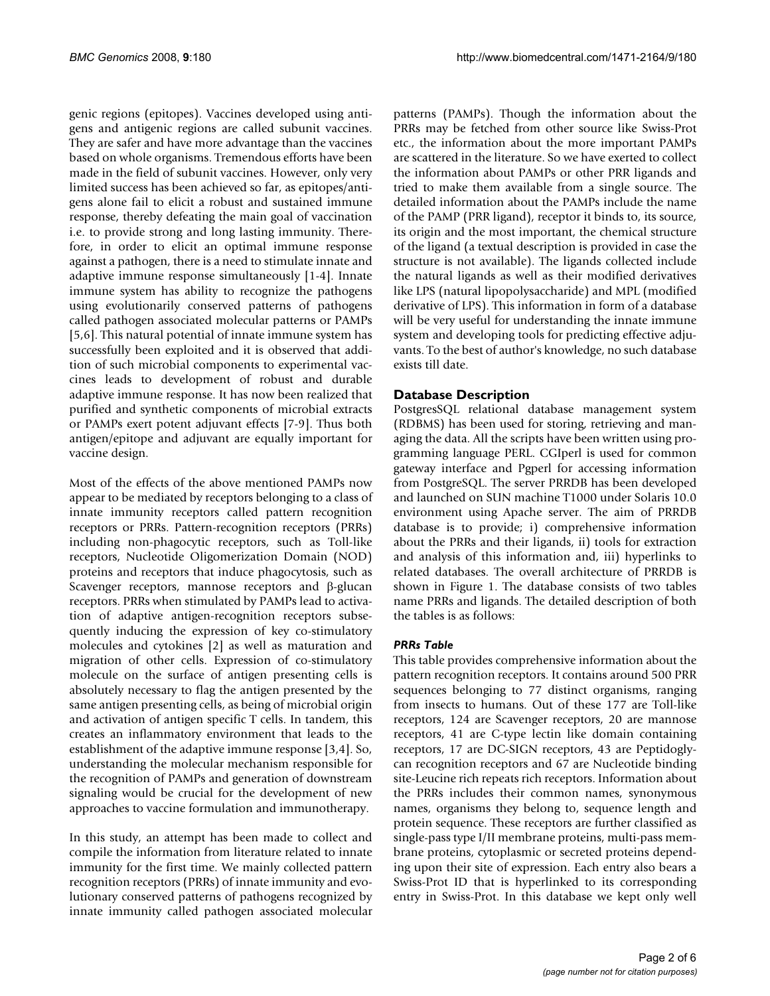genic regions (epitopes). Vaccines developed using antigens and antigenic regions are called subunit vaccines. They are safer and have more advantage than the vaccines based on whole organisms. Tremendous efforts have been made in the field of subunit vaccines. However, only very limited success has been achieved so far, as epitopes/antigens alone fail to elicit a robust and sustained immune response, thereby defeating the main goal of vaccination i.e. to provide strong and long lasting immunity. Therefore, in order to elicit an optimal immune response against a pathogen, there is a need to stimulate innate and adaptive immune response simultaneously [1-4]. Innate immune system has ability to recognize the pathogens using evolutionarily conserved patterns of pathogens called pathogen associated molecular patterns or PAMPs [5,6]. This natural potential of innate immune system has successfully been exploited and it is observed that addition of such microbial components to experimental vaccines leads to development of robust and durable adaptive immune response. It has now been realized that purified and synthetic components of microbial extracts or PAMPs exert potent adjuvant effects [7-9]. Thus both antigen/epitope and adjuvant are equally important for vaccine design.

Most of the effects of the above mentioned PAMPs now appear to be mediated by receptors belonging to a class of innate immunity receptors called pattern recognition receptors or PRRs. Pattern-recognition receptors (PRRs) including non-phagocytic receptors, such as Toll-like receptors, Nucleotide Oligomerization Domain (NOD) proteins and receptors that induce phagocytosis, such as Scavenger receptors, mannose receptors and β-glucan receptors. PRRs when stimulated by PAMPs lead to activation of adaptive antigen-recognition receptors subsequently inducing the expression of key co-stimulatory molecules and cytokines [2] as well as maturation and migration of other cells. Expression of co-stimulatory molecule on the surface of antigen presenting cells is absolutely necessary to flag the antigen presented by the same antigen presenting cells, as being of microbial origin and activation of antigen specific T cells. In tandem, this creates an inflammatory environment that leads to the establishment of the adaptive immune response [3,4]. So, understanding the molecular mechanism responsible for the recognition of PAMPs and generation of downstream signaling would be crucial for the development of new approaches to vaccine formulation and immunotherapy.

In this study, an attempt has been made to collect and compile the information from literature related to innate immunity for the first time. We mainly collected pattern recognition receptors (PRRs) of innate immunity and evolutionary conserved patterns of pathogens recognized by innate immunity called pathogen associated molecular

patterns (PAMPs). Though the information about the PRRs may be fetched from other source like Swiss-Prot etc., the information about the more important PAMPs are scattered in the literature. So we have exerted to collect the information about PAMPs or other PRR ligands and tried to make them available from a single source. The detailed information about the PAMPs include the name of the PAMP (PRR ligand), receptor it binds to, its source, its origin and the most important, the chemical structure of the ligand (a textual description is provided in case the structure is not available). The ligands collected include the natural ligands as well as their modified derivatives like LPS (natural lipopolysaccharide) and MPL (modified derivative of LPS). This information in form of a database will be very useful for understanding the innate immune system and developing tools for predicting effective adjuvants. To the best of author's knowledge, no such database exists till date.

# **Database Description**

PostgresSQL relational database management system (RDBMS) has been used for storing, retrieving and managing the data. All the scripts have been written using programming language PERL. CGIperl is used for common gateway interface and Pgperl for accessing information from PostgreSQL. The server PRRDB has been developed and launched on SUN machine T1000 under Solaris 10.0 environment using Apache server. The aim of PRRDB database is to provide; i) comprehensive information about the PRRs and their ligands, ii) tools for extraction and analysis of this information and, iii) hyperlinks to related databases. The overall architecture of PRRDB is shown in Figure 1. The database consists of two tables name PRRs and ligands. The detailed description of both the tables is as follows:

# *PRRs Table*

This table provides comprehensive information about the pattern recognition receptors. It contains around 500 PRR sequences belonging to 77 distinct organisms, ranging from insects to humans. Out of these 177 are Toll-like receptors, 124 are Scavenger receptors, 20 are mannose receptors, 41 are C-type lectin like domain containing receptors, 17 are DC-SIGN receptors, 43 are Peptidoglycan recognition receptors and 67 are Nucleotide binding site-Leucine rich repeats rich receptors. Information about the PRRs includes their common names, synonymous names, organisms they belong to, sequence length and protein sequence. These receptors are further classified as single-pass type I/II membrane proteins, multi-pass membrane proteins, cytoplasmic or secreted proteins depending upon their site of expression. Each entry also bears a Swiss-Prot ID that is hyperlinked to its corresponding entry in Swiss-Prot. In this database we kept only well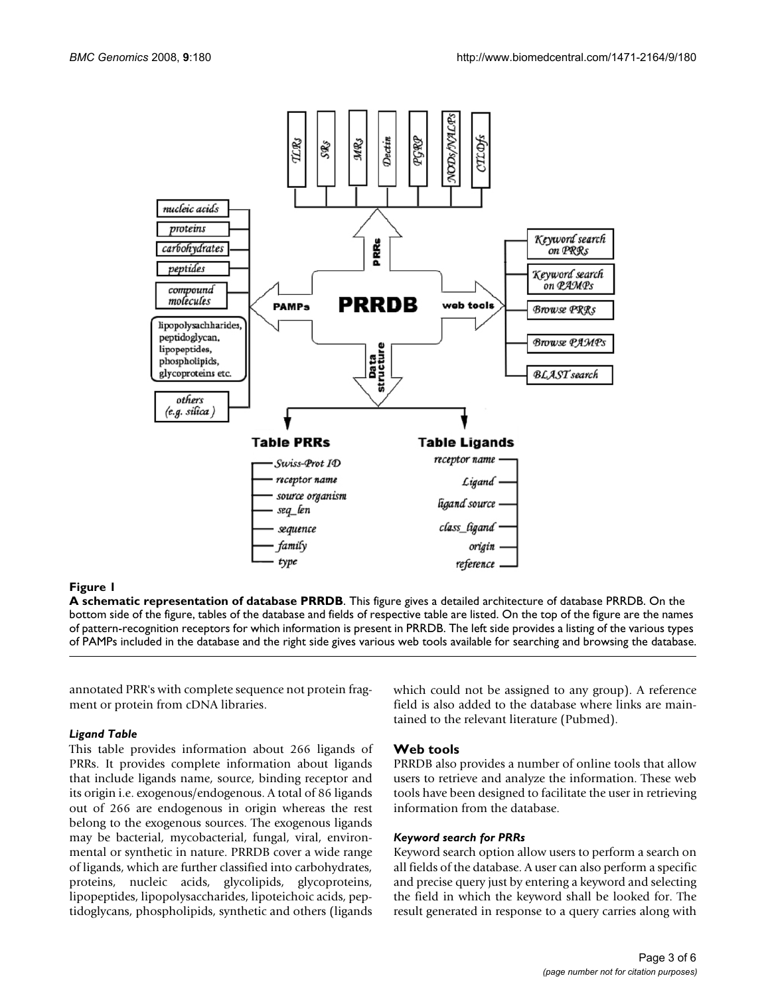

# Figure 1

**A schematic representation of database PRRDB**. This figure gives a detailed architecture of database PRRDB. On the bottom side of the figure, tables of the database and fields of respective table are listed. On the top of the figure are the names of pattern-recognition receptors for which information is present in PRRDB. The left side provides a listing of the various types of PAMPs included in the database and the right side gives various web tools available for searching and browsing the database.

annotated PRR's with complete sequence not protein fragment or protein from cDNA libraries.

### *Ligand Table*

This table provides information about 266 ligands of PRRs. It provides complete information about ligands that include ligands name, source, binding receptor and its origin i.e. exogenous/endogenous. A total of 86 ligands out of 266 are endogenous in origin whereas the rest belong to the exogenous sources. The exogenous ligands may be bacterial, mycobacterial, fungal, viral, environmental or synthetic in nature. PRRDB cover a wide range of ligands, which are further classified into carbohydrates, proteins, nucleic acids, glycolipids, glycoproteins, lipopeptides, lipopolysaccharides, lipoteichoic acids, peptidoglycans, phospholipids, synthetic and others (ligands which could not be assigned to any group). A reference field is also added to the database where links are maintained to the relevant literature (Pubmed).

# **Web tools**

PRRDB also provides a number of online tools that allow users to retrieve and analyze the information. These web tools have been designed to facilitate the user in retrieving information from the database.

### *Keyword search for PRRs*

Keyword search option allow users to perform a search on all fields of the database. A user can also perform a specific and precise query just by entering a keyword and selecting the field in which the keyword shall be looked for. The result generated in response to a query carries along with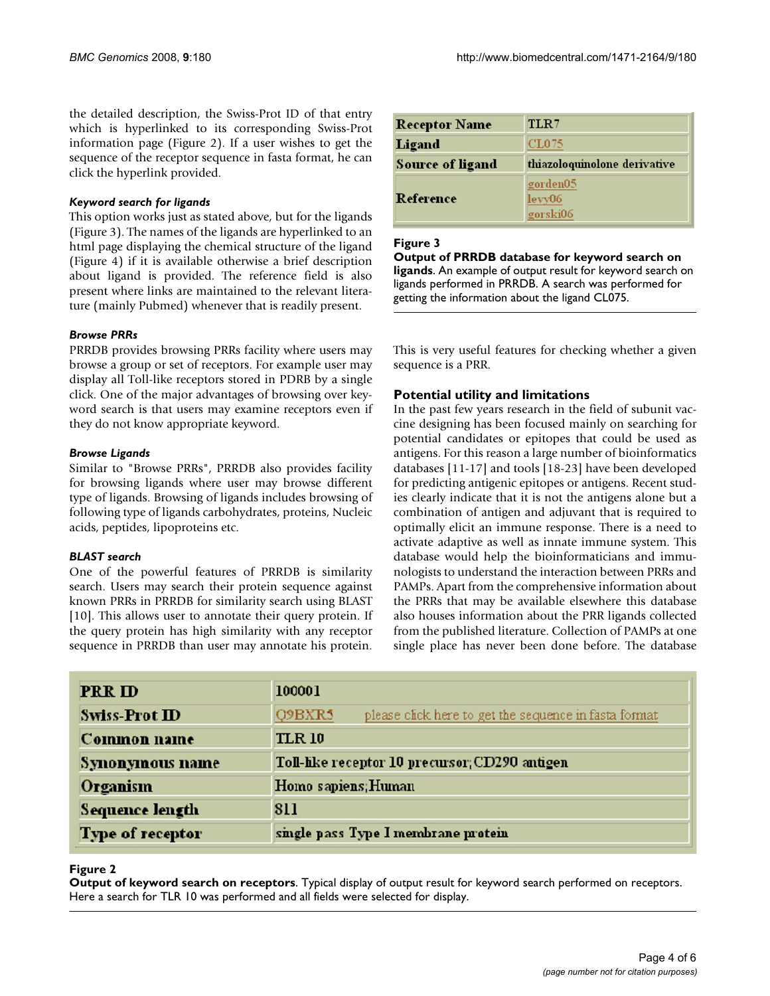the detailed description, the Swiss-Prot ID of that entry which is hyperlinked to its corresponding Swiss-Prot information page (Figure 2). If a user wishes to get the sequence of the receptor sequence in fasta format, he can click the hyperlink provided.

### *Keyword search for ligands*

This option works just as stated above, but for the ligands (Figure 3). The names of the ligands are hyperlinked to an html page displaying the chemical structure of the ligand (Figure 4) if it is available otherwise a brief description about ligand is provided. The reference field is also present where links are maintained to the relevant literature (mainly Pubmed) whenever that is readily present.

## *Browse PRRs*

PRRDB provides browsing PRRs facility where users may browse a group or set of receptors. For example user may display all Toll-like receptors stored in PDRB by a single click. One of the major advantages of browsing over keyword search is that users may examine receptors even if they do not know appropriate keyword.

### *Browse Ligands*

Similar to "Browse PRRs", PRRDB also provides facility for browsing ligands where user may browse different type of ligands. Browsing of ligands includes browsing of following type of ligands carbohydrates, proteins, Nucleic acids, peptides, lipoproteins etc.

### *BLAST search*

One of the powerful features of PRRDB is similarity search. Users may search their protein sequence against known PRRs in PRRDB for similarity search using BLAST [10]. This allows user to annotate their query protein. If the query protein has high similarity with any receptor sequence in PRRDB than user may annotate his protein.

| <b>Receptor Name</b> | TLR7                           |
|----------------------|--------------------------------|
| Ligand               | CL075                          |
| Source of ligand     | thiazoloquinolone derivative   |
| Reference            | gorden05<br>levv06<br>gorski06 |

# Figure 3

**Output of PRRDB database for keyword search on ligands**. An example of output result for keyword search on ligands performed in PRRDB. A search was performed for getting the information about the ligand CL075.

This is very useful features for checking whether a given sequence is a PRR.

# **Potential utility and limitations**

In the past few years research in the field of subunit vaccine designing has been focused mainly on searching for potential candidates or epitopes that could be used as antigens. For this reason a large number of bioinformatics databases [11-17] and tools [18-23] have been developed for predicting antigenic epitopes or antigens. Recent studies clearly indicate that it is not the antigens alone but a combination of antigen and adjuvant that is required to optimally elicit an immune response. There is a need to activate adaptive as well as innate immune system. This database would help the bioinformaticians and immunologists to understand the interaction between PRRs and PAMPs. Apart from the comprehensive information about the PRRs that may be available elsewhere this database also houses information about the PRR ligands collected from the published literature. Collection of PAMPs at one single place has never been done before. The database

| <b>PRR ID</b>          | 100001                                                          |
|------------------------|-----------------------------------------------------------------|
| Swiss-Prot ID          | Q9BXR5<br>please click here to get the sequence in fasta format |
| Common name            | <b>TLR 10</b>                                                   |
| Synonymous name        | Toll-like receptor 10 precursor; CD290 antigen                  |
| Organism               | Homo sapiens; Human                                             |
| <b>Sequence length</b> | 811                                                             |
| Type of receptor       | single pass Type I membrane protein                             |

### **Figure 2**

**Output of keyword search on receptors**. Typical display of output result for keyword search performed on receptors. Here a search for TLR 10 was performed and all fields were selected for display.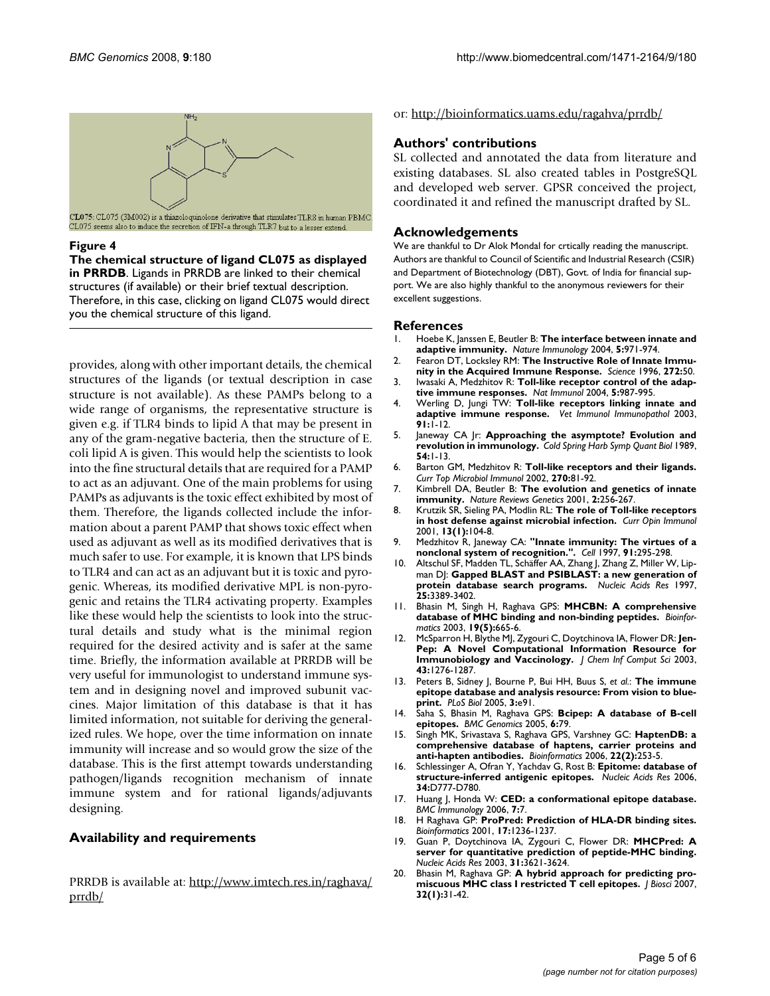

CL075: CL075 (3M002) is a thiazoloquinolone derivative that stimulates TLR8 in human PBMC. CL075 seems also to induce the secretion of IFN-a through TLR7 but to a lesser extend.

#### Figure 4

**The chemical structure of ligand CL075 as displayed in PRRDB**. Ligands in PRRDB are linked to their chemical structures (if available) or their brief textual description. Therefore, in this case, clicking on ligand CL075 would direct you the chemical structure of this ligand.

provides, along with other important details, the chemical structures of the ligands (or textual description in case structure is not available). As these PAMPs belong to a wide range of organisms, the representative structure is given e.g. if TLR4 binds to lipid A that may be present in any of the gram-negative bacteria, then the structure of E. coli lipid A is given. This would help the scientists to look into the fine structural details that are required for a PAMP to act as an adjuvant. One of the main problems for using PAMPs as adjuvants is the toxic effect exhibited by most of them. Therefore, the ligands collected include the information about a parent PAMP that shows toxic effect when used as adjuvant as well as its modified derivatives that is much safer to use. For example, it is known that LPS binds to TLR4 and can act as an adjuvant but it is toxic and pyrogenic. Whereas, its modified derivative MPL is non-pyrogenic and retains the TLR4 activating property. Examples like these would help the scientists to look into the structural details and study what is the minimal region required for the desired activity and is safer at the same time. Briefly, the information available at PRRDB will be very useful for immunologist to understand immune system and in designing novel and improved subunit vaccines. Major limitation of this database is that it has limited information, not suitable for deriving the generalized rules. We hope, over the time information on innate immunity will increase and so would grow the size of the database. This is the first attempt towards understanding pathogen/ligands recognition mechanism of innate immune system and for rational ligands/adjuvants designing.

### **Availability and requirements**

PRRDB is available at: [http://www.imtech.res.in/raghava/](http://www.imtech.res.in/raghava/prrdb/) [prrdb/](http://www.imtech.res.in/raghava/prrdb/)

or:<http://bioinformatics.uams.edu/ragahva/prrdb/>

## **Authors' contributions**

SL collected and annotated the data from literature and existing databases. SL also created tables in PostgreSQL and developed web server. GPSR conceived the project, coordinated it and refined the manuscript drafted by SL.

### **Acknowledgements**

We are thankful to Dr Alok Mondal for crtically reading the manuscript. Authors are thankful to Council of Scientific and Industrial Research (CSIR) and Department of Biotechnology (DBT), Govt. of India for financial support. We are also highly thankful to the anonymous reviewers for their excellent suggestions.

#### **References**

- 1. Hoebe K, Janssen E, Beutler B: **[The interface between innate and](http://www.ncbi.nlm.nih.gov/entrez/query.fcgi?cmd=Retrieve&db=PubMed&dopt=Abstract&list_uids=15454919) [adaptive immunity.](http://www.ncbi.nlm.nih.gov/entrez/query.fcgi?cmd=Retrieve&db=PubMed&dopt=Abstract&list_uids=15454919)** *Nature Immunology* 2004, **5:**971-974.
- 2. Fearon DT, Locksley RM: **[The Instructive Role of Innate Immu](http://www.ncbi.nlm.nih.gov/entrez/query.fcgi?cmd=Retrieve&db=PubMed&dopt=Abstract&list_uids=8600536)[nity in the Acquired Immune Response.](http://www.ncbi.nlm.nih.gov/entrez/query.fcgi?cmd=Retrieve&db=PubMed&dopt=Abstract&list_uids=8600536)** *Science* 1996, **272:**50.
- 3. Iwasaki A, Medzhitov R: **[Toll-like receptor control of the adap](http://www.ncbi.nlm.nih.gov/entrez/query.fcgi?cmd=Retrieve&db=PubMed&dopt=Abstract&list_uids=15454922)[tive immune responses.](http://www.ncbi.nlm.nih.gov/entrez/query.fcgi?cmd=Retrieve&db=PubMed&dopt=Abstract&list_uids=15454922)** *Nat Immunol* 2004, **5:**987-995.
- 4. Werling D, Jungi TW: **[Toll-like receptors linking innate and](http://www.ncbi.nlm.nih.gov/entrez/query.fcgi?cmd=Retrieve&db=PubMed&dopt=Abstract&list_uids=12507844) [adaptive immune response.](http://www.ncbi.nlm.nih.gov/entrez/query.fcgi?cmd=Retrieve&db=PubMed&dopt=Abstract&list_uids=12507844)** *Vet Immunol Immunopathol* 2003, **91:**1-12.
- 5. Janeway CA Jr: **[Approaching the asymptote? Evolution and](http://www.ncbi.nlm.nih.gov/entrez/query.fcgi?cmd=Retrieve&db=PubMed&dopt=Abstract&list_uids=2700931) [revolution in immunology.](http://www.ncbi.nlm.nih.gov/entrez/query.fcgi?cmd=Retrieve&db=PubMed&dopt=Abstract&list_uids=2700931)** *Cold Spring Harb Symp Quant Biol* 1989, **54:**1-13.
- 6. Barton GM, Medzhitov R: **[Toll-like receptors and their ligands.](http://www.ncbi.nlm.nih.gov/entrez/query.fcgi?cmd=Retrieve&db=PubMed&dopt=Abstract&list_uids=12467245)** *Curr Top Microbiol Immunol* 2002, **270:**81-92.
- 7. Kimbrell DA, Beutler B: **[The evolution and genetics of innate](http://www.ncbi.nlm.nih.gov/entrez/query.fcgi?cmd=Retrieve&db=PubMed&dopt=Abstract&list_uids=11283698) [immunity.](http://www.ncbi.nlm.nih.gov/entrez/query.fcgi?cmd=Retrieve&db=PubMed&dopt=Abstract&list_uids=11283698)** *Nature Reviews Genetics* 2001, **2:**256-267.
- 8. Krutzik SR, Sieling PA, Modlin RL: **[The role of Toll-like receptors](http://www.ncbi.nlm.nih.gov/entrez/query.fcgi?cmd=Retrieve&db=PubMed&dopt=Abstract&list_uids=11154925) [in host defense against microbial infection.](http://www.ncbi.nlm.nih.gov/entrez/query.fcgi?cmd=Retrieve&db=PubMed&dopt=Abstract&list_uids=11154925)** *Curr Opin Immunol* 2001, **13(1):**104-8.
- 9. Medzhitov R, Janeway CA: **["Innate immunity: The virtues of a](http://www.ncbi.nlm.nih.gov/entrez/query.fcgi?cmd=Retrieve&db=PubMed&dopt=Abstract&list_uids=9363937) [nonclonal system of recognition.".](http://www.ncbi.nlm.nih.gov/entrez/query.fcgi?cmd=Retrieve&db=PubMed&dopt=Abstract&list_uids=9363937)** *Cell* 1997, **91:**295-298.
- Altschul SF, Madden TL, Schäffer AA, Zhang J, Zhang Z, Miller W, Lipman DJ: **[Gapped BLAST and PSIBLAST: a new generation of](http://www.ncbi.nlm.nih.gov/entrez/query.fcgi?cmd=Retrieve&db=PubMed&dopt=Abstract&list_uids=9254694) [protein database search programs.](http://www.ncbi.nlm.nih.gov/entrez/query.fcgi?cmd=Retrieve&db=PubMed&dopt=Abstract&list_uids=9254694)** *Nucleic Acids Res* 1997, **25:**3389-3402.
- 11. Bhasin M, Singh H, Raghava GPS: **[MHCBN: A comprehensive](http://www.ncbi.nlm.nih.gov/entrez/query.fcgi?cmd=Retrieve&db=PubMed&dopt=Abstract&list_uids=12651731) [database of MHC binding and non-binding peptides.](http://www.ncbi.nlm.nih.gov/entrez/query.fcgi?cmd=Retrieve&db=PubMed&dopt=Abstract&list_uids=12651731)** *Bioinformatics* 2003, **19(5):**665-6.
- 12. McSparron H, Blythe MJ, Zygouri C, Doytchinova IA, Flower DR: **[Jen-](http://www.ncbi.nlm.nih.gov/entrez/query.fcgi?cmd=Retrieve&db=PubMed&dopt=Abstract&list_uids=12870921)[Pep: A Novel Computational Information Resource for](http://www.ncbi.nlm.nih.gov/entrez/query.fcgi?cmd=Retrieve&db=PubMed&dopt=Abstract&list_uids=12870921) [Immunobiology and Vaccinology.](http://www.ncbi.nlm.nih.gov/entrez/query.fcgi?cmd=Retrieve&db=PubMed&dopt=Abstract&list_uids=12870921)** *J Chem Inf Comput Sci* 2003, **43:**1276-1287.
- 13. Peters B, Sidney J, Bourne P, Bui HH, Buus S, *et al.*: **[The immune](http://www.ncbi.nlm.nih.gov/entrez/query.fcgi?cmd=Retrieve&db=PubMed&dopt=Abstract&list_uids=15760272) [epitope database and analysis resource: From vision to blue](http://www.ncbi.nlm.nih.gov/entrez/query.fcgi?cmd=Retrieve&db=PubMed&dopt=Abstract&list_uids=15760272)[print.](http://www.ncbi.nlm.nih.gov/entrez/query.fcgi?cmd=Retrieve&db=PubMed&dopt=Abstract&list_uids=15760272)** *PLoS Biol* 2005, **3:**e91.
- 14. Saha S, Bhasin M, Raghava GPS: **[Bcipep: A database of B-cell](http://www.ncbi.nlm.nih.gov/entrez/query.fcgi?cmd=Retrieve&db=PubMed&dopt=Abstract&list_uids=15921533) [epitopes.](http://www.ncbi.nlm.nih.gov/entrez/query.fcgi?cmd=Retrieve&db=PubMed&dopt=Abstract&list_uids=15921533)** *BMC Genomics* 2005, **6:**79.
- 15. Singh MK, Srivastava S, Raghava GPS, Varshney GC: **[HaptenDB: a](http://www.ncbi.nlm.nih.gov/entrez/query.fcgi?cmd=Retrieve&db=PubMed&dopt=Abstract&list_uids=16443637) [comprehensive database of haptens, carrier proteins and](http://www.ncbi.nlm.nih.gov/entrez/query.fcgi?cmd=Retrieve&db=PubMed&dopt=Abstract&list_uids=16443637) [anti-hapten antibodies.](http://www.ncbi.nlm.nih.gov/entrez/query.fcgi?cmd=Retrieve&db=PubMed&dopt=Abstract&list_uids=16443637)** *Bioinformatics* 2006, **22(2):**253-5.
- 16. Schlessinger A, Ofran Y, Yachdav G, Rost B: **[Epitome: database of](http://www.ncbi.nlm.nih.gov/entrez/query.fcgi?cmd=Retrieve&db=PubMed&dopt=Abstract&list_uids=16381978) [structure-inferred antigenic epitopes.](http://www.ncbi.nlm.nih.gov/entrez/query.fcgi?cmd=Retrieve&db=PubMed&dopt=Abstract&list_uids=16381978)** *Nucleic Acids Res* 2006, **34:**D777-D780.
- 17. Huang J, Honda W: **[CED: a conformational epitope database.](http://www.ncbi.nlm.nih.gov/entrez/query.fcgi?cmd=Retrieve&db=PubMed&dopt=Abstract&list_uids=16603068)** *BMC Immunology* 2006, **7:**7.
- 18. H Raghava GP: **[ProPred: Prediction of HLA-DR binding sites.](http://www.ncbi.nlm.nih.gov/entrez/query.fcgi?cmd=Retrieve&db=PubMed&dopt=Abstract&list_uids=11751237)** *Bioinformatics* 2001, **17:**1236-1237.
- 19. Guan P, Doytchinova IA, Zygouri C, Flower DR: **[MHCPred: A](http://www.ncbi.nlm.nih.gov/entrez/query.fcgi?cmd=Retrieve&db=PubMed&dopt=Abstract&list_uids=12824380) [server for quantitative prediction of peptide-MHC binding.](http://www.ncbi.nlm.nih.gov/entrez/query.fcgi?cmd=Retrieve&db=PubMed&dopt=Abstract&list_uids=12824380)** *Nucleic Acids Res* 2003, **31:**3621-3624.
- 20. Bhasin M, Raghava GP: **[A hybrid approach for predicting pro](http://www.ncbi.nlm.nih.gov/entrez/query.fcgi?cmd=Retrieve&db=PubMed&dopt=Abstract&list_uids=17426378)[miscuous MHC class I restricted T cell epitopes.](http://www.ncbi.nlm.nih.gov/entrez/query.fcgi?cmd=Retrieve&db=PubMed&dopt=Abstract&list_uids=17426378)** *J Biosci* 2007, **32(1):**31-42.